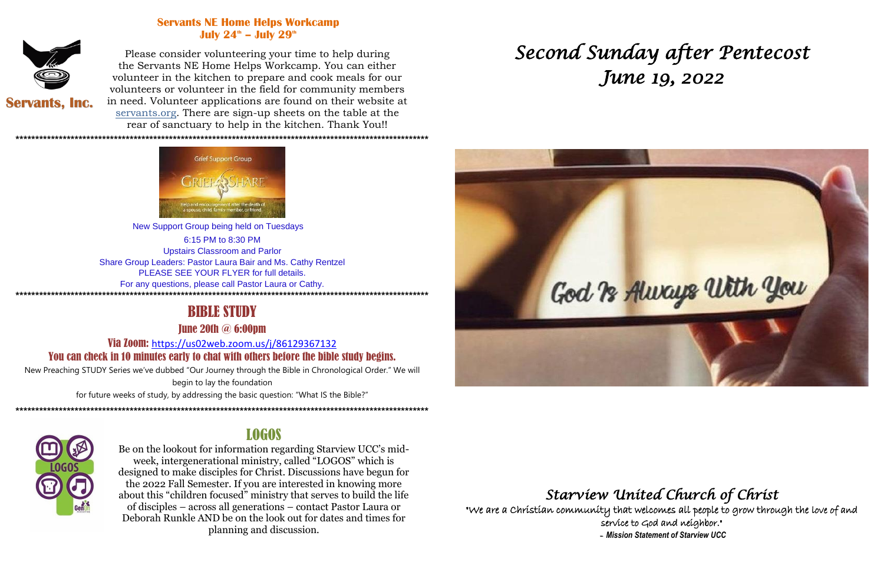### **Servants NE Home Helps Workcamp** July  $24^{\circ}$  – July  $29^{\circ}$



Please consider volunteering your time to help during the Servants NE Home Helps Workcamp. You can either volunteer in the kitchen to prepare and cook meals for our volunteers or volunteer in the field for community members in need. Volunteer applications are found on their website at servants.org. There are sign-up sheets on the table at the rear of sanctuary to help in the kitchen. Thank You!!

**Servants, Inc.** 

\*\*\*\*\*\*\*\*\*\*\*\*\*\*\*\*\*\*\*\*\*\*\*\*\*\*\*\*\*\*\*\*\*\*\*



New Support Group being held on Tuesdays 6:15 PM to 8:30 PM **Upstairs Classroom and Parlor** Share Group Leaders: Pastor Laura Bair and Ms. Cathy Rentzel PLEASE SEE YOUR FLYER for full details. For any questions, please call Pastor Laura or Cathy.

#### 

## **BIBLE STUDY**

**Tune 20th @ 6:00pm** 

Via Zoom: https://us02web.zoom.us/j/86129367132 You can check in 10 minutes early to chat with others before the bible study begins.

New Preaching STUDY Series we've dubbed "Our Journey through the Bible in Chronological Order." We will

begin to lay the foundation

for future weeks of study, by addressing the basic question: "What IS the Bible?" 



# **LOGOS**

Be on the lookout for information regarding Starview UCC's midweek, intergenerational ministry, called "LOGOS" which is designed to make disciples for Christ. Discussions have begun for the 2022 Fall Semester. If you are interested in knowing more about this "children focused" ministry that serves to build the life of disciples – across all generations – contact Pastor Laura or Deborah Runkle AND be on the look out for dates and times for planning and discussion.

# Second Sunday after Pentecost June 19, 2022



"We are a Christian community that welcomes all people to grow through the love of and service to God and neighbor." - Mission Statement of Starview UCC

# Starview United Church of Christ